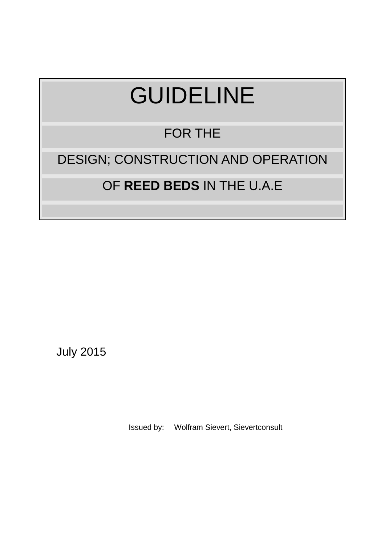# GUIDELINE

# FOR THE

# DESIGN; CONSTRUCTION AND OPERATION

# OF **REED BEDS** IN THE U.A.E

July 2015

Issued by: Wolfram Sievert, Sievertconsult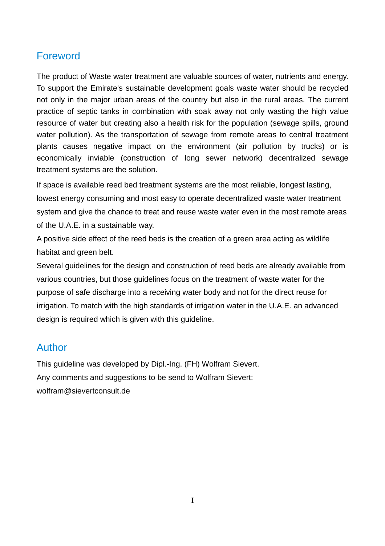# Foreword

The product of Waste water treatment are valuable sources of water, nutrients and energy. To support the Emirate's sustainable development goals waste water should be recycled not only in the major urban areas of the country but also in the rural areas. The current practice of septic tanks in combination with soak away not only wasting the high value resource of water but creating also a health risk for the population (sewage spills, ground water pollution). As the transportation of sewage from remote areas to central treatment plants causes negative impact on the environment (air pollution by trucks) or is economically inviable (construction of long sewer network) decentralized sewage treatment systems are the solution.

If space is available reed bed treatment systems are the most reliable, longest lasting, lowest energy consuming and most easy to operate decentralized waste water treatment system and give the chance to treat and reuse waste water even in the most remote areas of the U.A.E. in a sustainable way.

A positive side effect of the reed beds is the creation of a green area acting as wildlife habitat and green belt.

Several guidelines for the design and construction of reed beds are already available from various countries, but those guidelines focus on the treatment of waste water for the purpose of safe discharge into a receiving water body and not for the direct reuse for irrigation. To match with the high standards of irrigation water in the U.A.E. an advanced design is required which is given with this guideline.

# Author

This guideline was developed by Dipl.-Ing. (FH) Wolfram Sievert. Any comments and suggestions to be send to Wolfram Sievert: wolfram@sievertconsult.de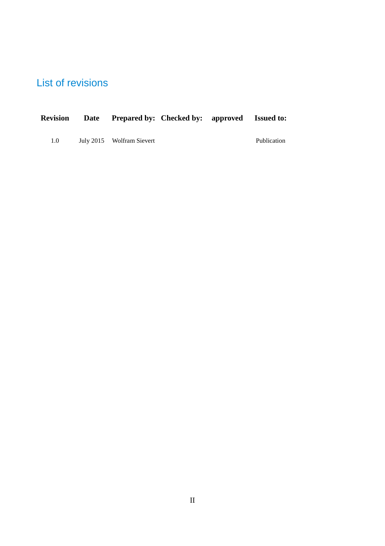# List of revisions

| <b>Revision</b> | Date Prepared by: Checked by: approved Issued to: |  |             |
|-----------------|---------------------------------------------------|--|-------------|
| 1.0             | July 2015 Wolfram Sievert                         |  | Publication |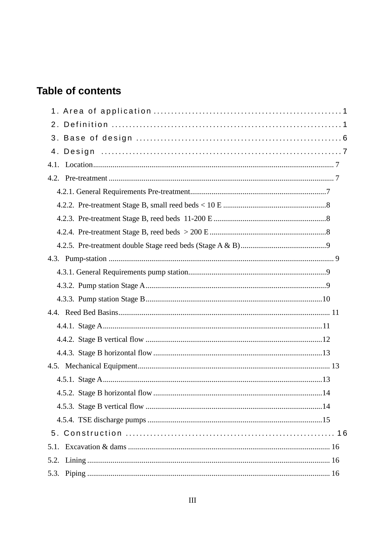# **Table of contents**

| . 14 |
|------|
|      |
|      |
|      |
|      |
|      |
| 5.3. |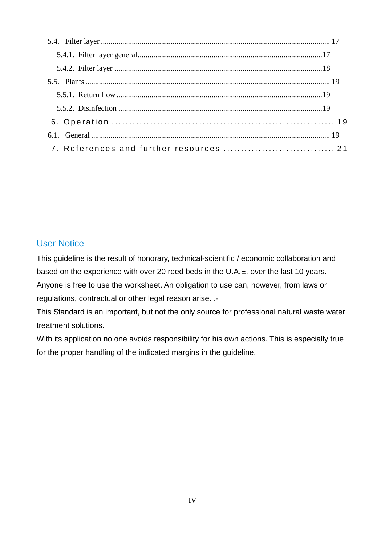#### User Notice

This guideline is the result of honorary, technical-scientific / economic collaboration and based on the experience with over 20 reed beds in the U.A.E. over the last 10 years. Anyone is free to use the worksheet. An obligation to use can, however, from laws or regulations, contractual or other legal reason arise. .-

This Standard is an important, but not the only source for professional natural waste water treatment solutions.

With its application no one avoids responsibility for his own actions. This is especially true for the proper handling of the indicated margins in the guideline.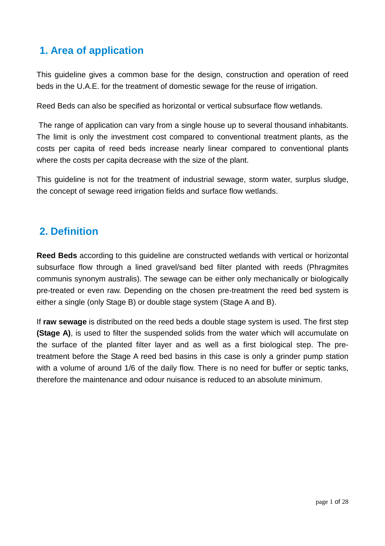# **1. Area of application**

This guideline gives a common base for the design, construction and operation of reed beds in the U.A.E. for the treatment of domestic sewage for the reuse of irrigation.

Reed Beds can also be specified as horizontal or vertical subsurface flow wetlands.

 The range of application can vary from a single house up to several thousand inhabitants. The limit is only the investment cost compared to conventional treatment plants, as the costs per capita of reed beds increase nearly linear compared to conventional plants where the costs per capita decrease with the size of the plant.

This guideline is not for the treatment of industrial sewage, storm water, surplus sludge, the concept of sewage reed irrigation fields and surface flow wetlands.

## **2. Definition**

**Reed Beds** according to this guideline are constructed wetlands with vertical or horizontal subsurface flow through a lined gravel/sand bed filter planted with reeds (Phragmites communis synonym australis). The sewage can be either only mechanically or biologically pre-treated or even raw. Depending on the chosen pre-treatment the reed bed system is either a single (only Stage B) or double stage system (Stage A and B).

If **raw sewage** is distributed on the reed beds a double stage system is used. The first step **(Stage A)**, is used to filter the suspended solids from the water which will accumulate on the surface of the planted filter layer and as well as a first biological step. The pretreatment before the Stage A reed bed basins in this case is only a grinder pump station with a volume of around 1/6 of the daily flow. There is no need for buffer or septic tanks, therefore the maintenance and odour nuisance is reduced to an absolute minimum.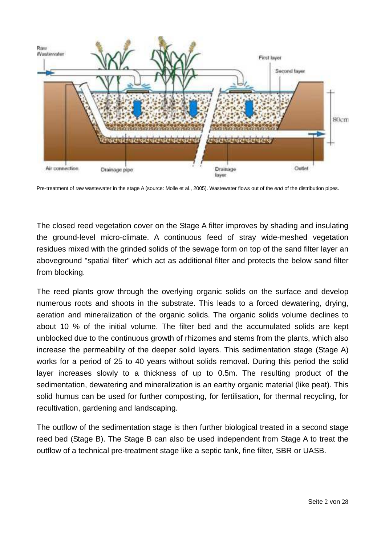

Pre-treatment of raw wastewater in the stage A (source: Molle et al., 2005). Wastewater flows out of the end of the distribution pipes.

The closed reed vegetation cover on the Stage A filter improves by shading and insulating the ground-level micro-climate. A continuous feed of stray wide-meshed vegetation residues mixed with the grinded solids of the sewage form on top of the sand filter layer an aboveground "spatial filter" which act as additional filter and protects the below sand filter from blocking.

The reed plants grow through the overlying organic solids on the surface and develop numerous roots and shoots in the substrate. This leads to a forced dewatering, drying, aeration and mineralization of the organic solids. The organic solids volume declines to about 10 % of the initial volume. The filter bed and the accumulated solids are kept unblocked due to the continuous growth of rhizomes and stems from the plants, which also increase the permeability of the deeper solid layers. This sedimentation stage (Stage A) works for a period of 25 to 40 years without solids removal. During this period the solid layer increases slowly to a thickness of up to 0.5m. The resulting product of the sedimentation, dewatering and mineralization is an earthy organic material (like peat). This solid humus can be used for further composting, for fertilisation, for thermal recycling, for recultivation, gardening and landscaping.

The outflow of the sedimentation stage is then further biological treated in a second stage reed bed (Stage B). The Stage B can also be used independent from Stage A to treat the outflow of a technical pre-treatment stage like a septic tank, fine filter, SBR or UASB.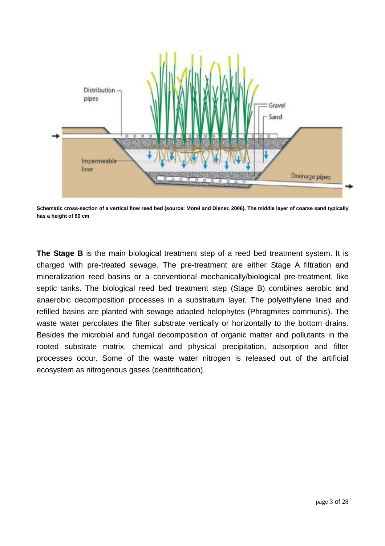

**Schematic cross-section of a vertical flow reed bed (source: Morel and Diener, 2006). The middle layer of coarse sand typically has a height of 60 cm**

**The Stage B** is the main biological treatment step of a reed bed treatment system. It is charged with pre-treated sewage. The pre-treatment are either Stage A filtration and mineralization reed basins or a conventional mechanically/biological pre-treatment, like septic tanks. The biological reed bed treatment step (Stage B) combines aerobic and anaerobic decomposition processes in a substratum layer. The polyethylene lined and refilled basins are planted with sewage adapted helophytes (Phragmites communis). The waste water percolates the filter substrate vertically or horizontally to the bottom drains. Besides the microbial and fungal decomposition of organic matter and pollutants in the rooted substrate matrix, chemical and physical precipitation, adsorption and filter processes occur. Some of the waste water nitrogen is released out of the artificial ecosystem as nitrogenous gases (denitrification).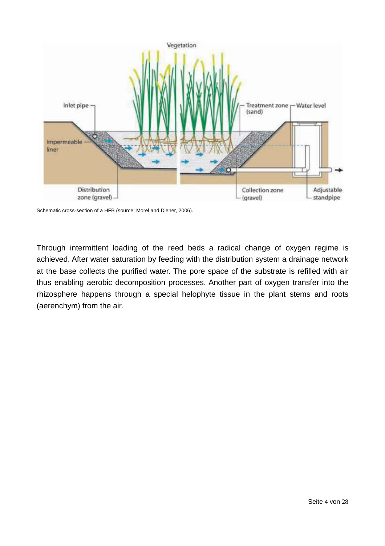

Schematic cross-section of a HFB (source: Morel and Diener, 2006).

Through intermittent loading of the reed beds a radical change of oxygen regime is achieved. After water saturation by feeding with the distribution system a drainage network at the base collects the purified water. The pore space of the substrate is refilled with air thus enabling aerobic decomposition processes. Another part of oxygen transfer into the rhizosphere happens through a special helophyte tissue in the plant stems and roots (aerenchym) from the air.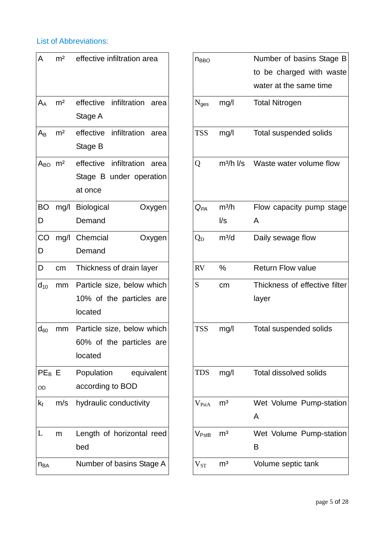#### List of Abbreviations:

| A                       | m <sup>2</sup> | effective infiltration area                                             | <b>n</b> <sub>BBO</sub> |                                             | Number of basins<br>to be charged wit<br>water at the same t |
|-------------------------|----------------|-------------------------------------------------------------------------|-------------------------|---------------------------------------------|--------------------------------------------------------------|
| $A_{A}$                 | m <sup>2</sup> | effective<br>infiltration<br>area<br>Stage A                            | N <sub>ges</sub>        | mg/l                                        | <b>Total Nitrogen</b>                                        |
| $A_{B}$                 | m <sup>2</sup> | infiltration<br>effective<br>area<br>Stage B                            | <b>TSS</b>              | mg/l                                        | Total suspended so                                           |
| $A_{BO}$ m <sup>2</sup> |                | effective<br>infiltration<br>area<br>Stage B under operation<br>at once | Q                       | $m^3/h$ I/s                                 | Waste water volum                                            |
| BO<br>D                 |                | mg/l Biological<br>Oxygen<br>Demand                                     | $Q_{PA}$                | m <sup>3</sup> /h<br>$\mathsf{U}\mathsf{s}$ | Flow capacity pum<br>A                                       |
| CO<br>D                 |                | mg/l Chemcial<br>Oxygen<br>Demand                                       | $Q_D$                   | $m^3/d$                                     | Daily sewage flow                                            |
| D                       | cm             | Thickness of drain layer                                                | <b>RV</b>               | %                                           | <b>Return Flow value</b>                                     |
| $d_{10}$                | mm             | Particle size, below which<br>10% of the particles are<br>located       | S                       | cm                                          | Thickness of effect<br>layer                                 |
| $d_{60}$                | mm             | Particle size, below which<br>60% of the particles are<br>located       | <b>TSS</b>              | mg/l                                        | Total suspended so                                           |
| PE <sub>B</sub> E<br>OD |                | Population<br>equivalent<br>according to BOD                            | <b>TDS</b>              | mg/l                                        | Total dissolved soli                                         |
| $k_f$                   | m/s            | hydraulic conductivity                                                  | $V_{PstA}$              | m <sup>3</sup>                              | Wet Volume Pump<br>A                                         |
| L                       | m              | Length of horizontal reed<br>bed                                        | $\rm V_{PstB}$          | m <sup>3</sup>                              | Wet Volume Pump<br>B                                         |
| n <sub>BA</sub>         |                | Number of basins Stage A                                                | $V_{ST}$                | m <sup>3</sup>                              | Volume septic tank                                           |

| A                              | m <sup>2</sup> | effective infiltration area                                             | <b>NBBO</b>       |                                              | Number of basins Stage B<br>to be charged with waste<br>water at the same time |
|--------------------------------|----------------|-------------------------------------------------------------------------|-------------------|----------------------------------------------|--------------------------------------------------------------------------------|
| $\mathsf{A}_\mathsf{A}$        | m <sup>2</sup> | infiltration<br>effective<br>area<br>Stage A                            | N <sub>ges</sub>  | mg/l                                         | <b>Total Nitrogen</b>                                                          |
| Aв                             | m <sup>2</sup> | infiltration<br>effective<br>area<br>Stage B                            | <b>TSS</b>        | mg/l                                         | <b>Total suspended solids</b>                                                  |
| A <sub>BO</sub> m <sup>2</sup> |                | effective<br>infiltration<br>area<br>Stage B under operation<br>at once | Q                 | $m^3/h$ $l/s$                                | Waste water volume flow                                                        |
| ВO<br>D                        | mg/l           | <b>Biological</b><br>Oxygen<br>Demand                                   | $Q_{PA}$          | m <sup>3</sup> /h<br>$\mathsf{l}/\mathsf{s}$ | Flow capacity pump stage<br>A                                                  |
| CO<br>D                        | mg/l           | Chemcial<br>Oxygen<br>Demand                                            | $Q_{D}$           | $m^3/d$                                      | Daily sewage flow                                                              |
| D                              | cm             | Thickness of drain layer                                                | <b>RV</b>         | %                                            | <b>Return Flow value</b>                                                       |
| $\mathsf{d}_{\mathsf{10}}$     | mm             | Particle size, below which<br>10% of the particles are<br>located       | S                 | cm                                           | Thickness of effective filter<br>layer                                         |
| $\mathsf{d}_{60}$              | mm             | Particle size, below which<br>60% of the particles are<br>located       | <b>TSS</b>        | mg/l                                         | Total suspended solids                                                         |
| $PE_B E$<br>OD                 |                | Population<br>equivalent<br>according to BOD                            | <b>TDS</b>        | mg/l                                         | <b>Total dissolved solids</b>                                                  |
| $\mathsf{k}_{\mathsf{f}}$      | m/s            | hydraulic conductivity                                                  | $V_{PstA}$        | m <sup>3</sup>                               | Wet Volume Pump-station<br>A                                                   |
| L                              | m              | Length of horizontal reed<br>bed                                        | $V_{\text{PstB}}$ | m <sup>3</sup>                               | Wet Volume Pump-station<br>B                                                   |
| $n_{BA}$                       |                | Number of basins Stage A                                                | ${\rm V_{ST}}$    | m <sup>3</sup>                               | Volume septic tank                                                             |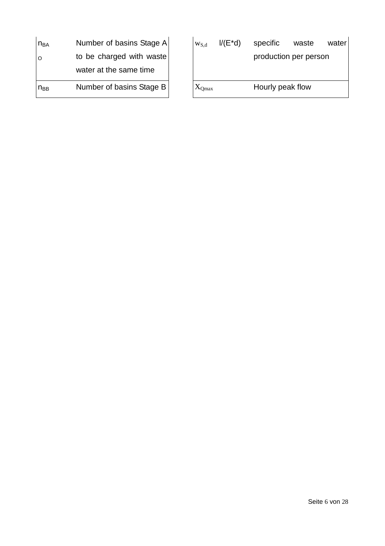| $n_{BA}$ | Number of basins Stage A | W <sub>S.d</sub> | $I/(E^*d)$ | specific          | wast |
|----------|--------------------------|------------------|------------|-------------------|------|
| $\circ$  | to be charged with waste |                  |            | production per pe |      |
|          | water at the same time   |                  |            |                   |      |
| $n_{BB}$ | Number of basins Stage B | $X_{Qmax}$       |            | Hourly peak flow  |      |

| W <sub>S,d</sub> | $I/(E^*d)$ | specific              | waste | water |
|------------------|------------|-----------------------|-------|-------|
|                  |            | production per person |       |       |
|                  |            |                       |       |       |
| $\rm X_{Omax}$   |            | Hourly peak flow      |       |       |
|                  |            |                       |       |       |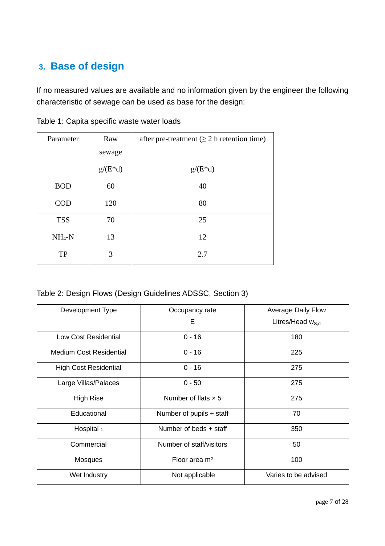# **3. Base of design**

If no measured values are available and no information given by the engineer the following characteristic of sewage can be used as base for the design:

| Parameter  | Raw       | after pre-treatment ( $\geq 2$ h retention time) |
|------------|-----------|--------------------------------------------------|
|            | sewage    |                                                  |
|            | $g/(E*d)$ | $g/(E*d)$                                        |
| <b>BOD</b> | 60        | 40                                               |
| <b>COD</b> | 120       | 80                                               |
| <b>TSS</b> | 70        | 25                                               |
| $NH_4-N$   | 13        | 12                                               |
| TP         | 3         | 2.7                                              |

Table 1: Capita specific waste water loads

Table 2: Design Flows (Design Guidelines ADSSC, Section 3)

| Development Type               | Occupancy rate             | <b>Average Daily Flow</b> |
|--------------------------------|----------------------------|---------------------------|
|                                | E                          | Litres/Head $w_{S,d}$     |
| Low Cost Residential           | $0 - 16$                   | 180                       |
| <b>Medium Cost Residential</b> | $0 - 16$                   | 225                       |
| <b>High Cost Residential</b>   | $0 - 16$                   | 275                       |
| Large Villas/Palaces           | $0 - 50$                   | 275                       |
| <b>High Rise</b>               | Number of flats $\times$ 5 | 275                       |
| Educational                    | Number of pupils + staff   | 70                        |
| Hospital 1                     | Number of beds + staff     | 350                       |
| Commercial                     | Number of staff/visitors   | 50                        |
| Mosques                        | Floor area m <sup>2</sup>  | 100                       |
| Wet Industry                   | Not applicable             | Varies to be advised      |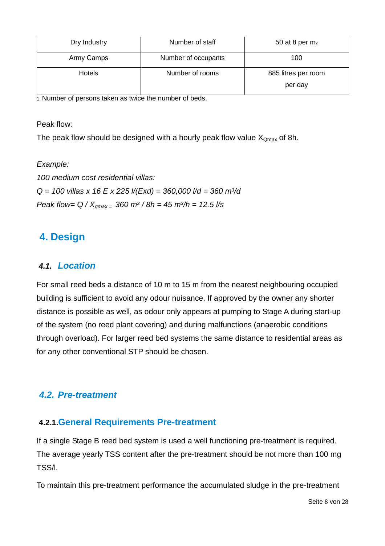| Dry Industry  | Number of staff     | 50 at 8 per $m2$               |
|---------------|---------------------|--------------------------------|
| Army Camps    | Number of occupants | 100                            |
| <b>Hotels</b> | Number of rooms     | 885 litres per room<br>per day |

1. Number of persons taken as twice the number of beds.

Peak flow:

The peak flow should be designed with a hourly peak flow value  $X_{Qmax}$  of 8h.

Example: 100 medium cost residential villas:  $Q = 100$  villas x 16 E x 225 l/(Exd) = 360,000 l/d = 360 m<sup>3</sup>/d Peak flow=  $Q / X_{\text{omax}} = 360 \text{ m}^3 / 8h = 45 \text{ m}^3/h = 12.5 \text{ l/s}$ 

# **4. Design**

#### **4.1. Location**

For small reed beds a distance of 10 m to 15 m from the nearest neighbouring occupied building is sufficient to avoid any odour nuisance. If approved by the owner any shorter distance is possible as well, as odour only appears at pumping to Stage A during start-up of the system (no reed plant covering) and during malfunctions (anaerobic conditions through overload). For larger reed bed systems the same distance to residential areas as for any other conventional STP should be chosen.

#### **4.2. Pre-treatment**

#### **4.2.1.General Requirements Pre-treatment**

If a single Stage B reed bed system is used a well functioning pre-treatment is required. The average yearly TSS content after the pre-treatment should be not more than 100 mg TSS/l.

To maintain this pre-treatment performance the accumulated sludge in the pre-treatment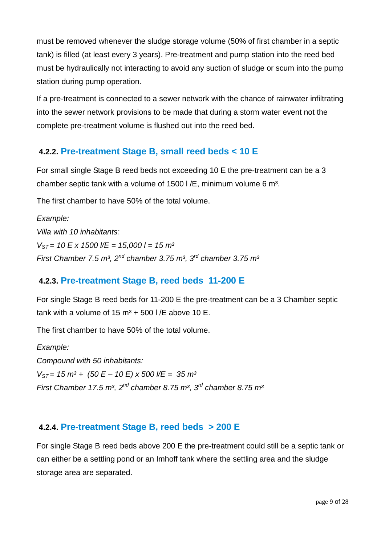must be removed whenever the sludge storage volume (50% of first chamber in a septic tank) is filled (at least every 3 years). Pre-treatment and pump station into the reed bed must be hydraulically not interacting to avoid any suction of sludge or scum into the pump station during pump operation.

If a pre-treatment is connected to a sewer network with the chance of rainwater infiltrating into the sewer network provisions to be made that during a storm water event not the complete pre-treatment volume is flushed out into the reed bed.

#### **4.2.2. Pre-treatment Stage B, small reed beds < 10 E**

For small single Stage B reed beds not exceeding 10 E the pre-treatment can be a 3 chamber septic tank with a volume of  $1500$  I/E, minimum volume 6 m<sup>3</sup>.

The first chamber to have 50% of the total volume.

Example: Villa with 10 inhabitants:  $V_{ST}$  = 10 E x 1500  $V$ E = 15,000 l = 15 m<sup>3</sup> First Chamber 7.5 m<sup>3</sup>, 2<sup>nd</sup> chamber 3.75 m<sup>3</sup>, 3<sup>rd</sup> chamber 3.75 m<sup>3</sup>

#### **4.2.3. Pre-treatment Stage B, reed beds 11-200 E**

For single Stage B reed beds for 11-200 E the pre-treatment can be a 3 Chamber septic tank with a volume of 15  $\text{m}^3$  + 500 l/E above 10 E.

The first chamber to have 50% of the total volume.

Example: Compound with 50 inhabitants:  $V_{ST}$  = 15 m<sup>3</sup> + (50 E – 10 E) x 500  $V =$  = 35 m<sup>3</sup> First Chamber 17.5 m<sup>3</sup>, 2<sup>nd</sup> chamber 8.75 m<sup>3</sup>, 3<sup>rd</sup> chamber 8.75 m<sup>3</sup>

#### **4.2.4. Pre-treatment Stage B, reed beds > 200 E**

For single Stage B reed beds above 200 E the pre-treatment could still be a septic tank or can either be a settling pond or an Imhoff tank where the settling area and the sludge storage area are separated.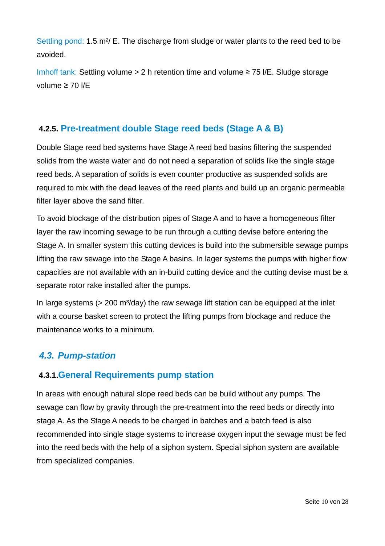Settling pond: 1.5 m<sup>2</sup>/ E. The discharge from sludge or water plants to the reed bed to be avoided.

Imhoff tank: Settling volume > 2 h retention time and volume ≥ 75 l/E. Sludge storage volume ≥ 70 l/E

#### **4.2.5. Pre-treatment double Stage reed beds (Stage A & B)**

Double Stage reed bed systems have Stage A reed bed basins filtering the suspended solids from the waste water and do not need a separation of solids like the single stage reed beds. A separation of solids is even counter productive as suspended solids are required to mix with the dead leaves of the reed plants and build up an organic permeable filter layer above the sand filter.

To avoid blockage of the distribution pipes of Stage A and to have a homogeneous filter layer the raw incoming sewage to be run through a cutting devise before entering the Stage A. In smaller system this cutting devices is build into the submersible sewage pumps lifting the raw sewage into the Stage A basins. In lager systems the pumps with higher flow capacities are not available with an in-build cutting device and the cutting devise must be a separate rotor rake installed after the pumps.

In large systems ( $> 200$  m<sup>3</sup>/day) the raw sewage lift station can be equipped at the inlet with a course basket screen to protect the lifting pumps from blockage and reduce the maintenance works to a minimum.

#### **4.3. Pump-station**

#### **4.3.1.General Requirements pump station**

In areas with enough natural slope reed beds can be build without any pumps. The sewage can flow by gravity through the pre-treatment into the reed beds or directly into stage A. As the Stage A needs to be charged in batches and a batch feed is also recommended into single stage systems to increase oxygen input the sewage must be fed into the reed beds with the help of a siphon system. Special siphon system are available from specialized companies.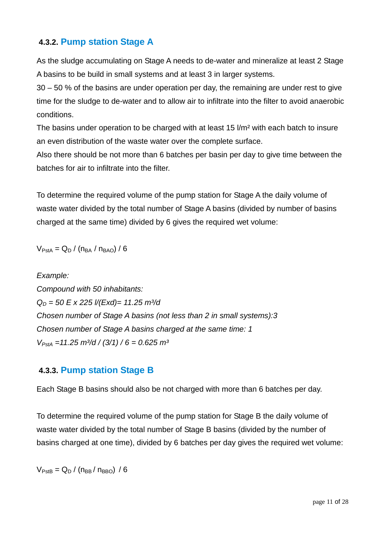#### **4.3.2. Pump station Stage A**

As the sludge accumulating on Stage A needs to de-water and mineralize at least 2 Stage A basins to be build in small systems and at least 3 in larger systems.

30 – 50 % of the basins are under operation per day, the remaining are under rest to give time for the sludge to de-water and to allow air to infiltrate into the filter to avoid anaerobic conditions.

The basins under operation to be charged with at least 15 l/m² with each batch to insure an even distribution of the waste water over the complete surface.

Also there should be not more than 6 batches per basin per day to give time between the batches for air to infiltrate into the filter.

To determine the required volume of the pump station for Stage A the daily volume of waste water divided by the total number of Stage A basins (divided by number of basins charged at the same time) divided by 6 gives the required wet volume:

$$
V_{\text{PstA}} = Q_{D} / (n_{BA} / n_{BAO}) / 6
$$

Example: Compound with 50 inhabitants:  $Q_D = 50$  E x 225 l/(Exd)= 11.25 m<sup>3</sup>/d Chosen number of Stage A basins (not less than 2 in small systems):3 Chosen number of Stage A basins charged at the same time: 1  $V_{PstA}$  =11.25 m<sup>3</sup>/d / (3/1) / 6 = 0.625 m<sup>3</sup>

#### **4.3.3. Pump station Stage B**

Each Stage B basins should also be not charged with more than 6 batches per day.

To determine the required volume of the pump station for Stage B the daily volume of waste water divided by the total number of Stage B basins (divided by the number of basins charged at one time), divided by 6 batches per day gives the required wet volume:

 $V_{\text{PstB}} = Q_{\text{D}} / (n_{\text{BB}} / n_{\text{BBO}}) / 6$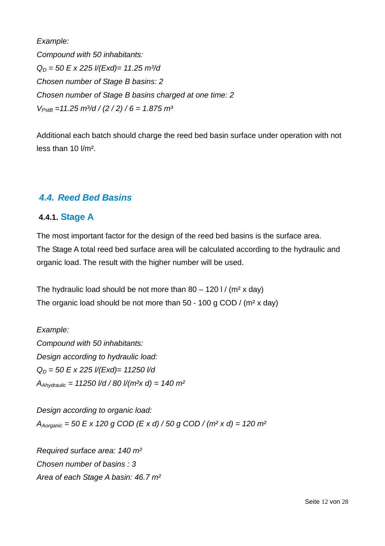Example: Compound with 50 inhabitants:  $Q_D = 50$  E x 225 l/(Exd)= 11.25 m<sup>3</sup>/d Chosen number of Stage B basins: 2 Chosen number of Stage B basins charged at one time: 2  $V_{PstB} = 11.25 \text{ m}^3/\text{d} / (2 / 2) / 6 = 1.875 \text{ m}^3$ 

Additional each batch should charge the reed bed basin surface under operation with not less than 10 l/m².

#### **4.4. Reed Bed Basins**

#### **4.4.1. Stage A**

The most important factor for the design of the reed bed basins is the surface area. The Stage A total reed bed surface area will be calculated according to the hydraulic and organic load. The result with the higher number will be used.

The hydraulic load should be not more than  $80 - 120$  I / (m<sup>2</sup> x day) The organic load should be not more than 50 - 100 g COD / (m² x day)

Example: Compound with 50 inhabitants: Design according to hydraulic load:  $Q_D = 50$  E x 225 l/(Exd)= 11250 l/d  $A_{\text{Abwdraultic}} = 11250$  I/d / 80 I/(m<sup>2</sup>x d) = 140 m<sup>2</sup>

Design according to organic load:  $A_{Aoronic}$  = 50 E x 120 g COD (E x d) / 50 g COD / (m<sup>2</sup> x d) = 120 m<sup>2</sup>

Required surface area: 140 m² Chosen number of basins : 3 Area of each Stage A basin: 46.7 m²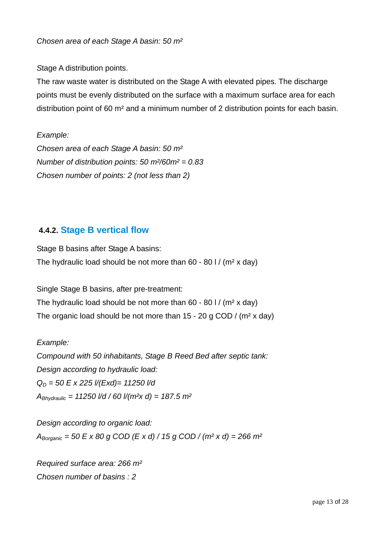#### Chosen area of each Stage A basin: 50 m²

Stage A distribution points.

The raw waste water is distributed on the Stage A with elevated pipes. The discharge points must be evenly distributed on the surface with a maximum surface area for each distribution point of 60 m² and a minimum number of 2 distribution points for each basin.

Example: Chosen area of each Stage A basin: 50 m² Number of distribution points: 50 m $^{2}/60$ m $^{2} = 0.83$ Chosen number of points: 2 (not less than 2)

#### **4.4.2. Stage B vertical flow**

Stage B basins after Stage A basins: The hydraulic load should be not more than  $60 - 80$  I / (m<sup>2</sup> x day)

Single Stage B basins, after pre-treatment: The hydraulic load should be not more than  $60 - 80$  I / (m<sup>2</sup> x day) The organic load should be not more than 15 - 20 g COD / (m² x day)

Example:

Compound with 50 inhabitants, Stage B Reed Bed after septic tank: Design according to hydraulic load:  $Q_D = 50$  E x 225 l/(Exd)= 11250 l/d  $A_{\text{Bhvdraulic}} = 11250$  I/d / 60 I/(m<sup>2</sup>x d) = 187.5 m<sup>2</sup>

Design according to organic load:  $A_{Boronic}$  = 50 E x 80 g COD (E x d) / 15 g COD / (m<sup>2</sup> x d) = 266 m<sup>2</sup>

Required surface area: 266 m² Chosen number of basins : 2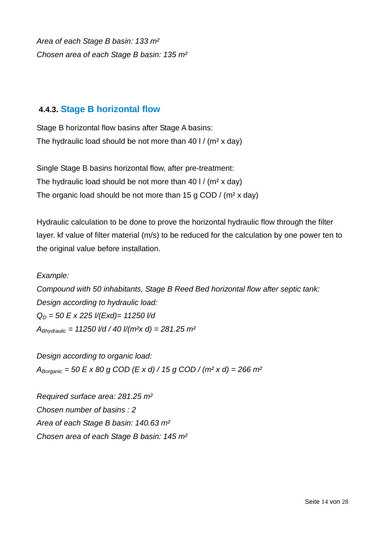Area of each Stage B basin: 133 m² Chosen area of each Stage B basin: 135 m²

#### **4.4.3. Stage B horizontal flow**

Stage B horizontal flow basins after Stage A basins: The hydraulic load should be not more than  $401/$  (m<sup>2</sup> x day)

Single Stage B basins horizontal flow, after pre-treatment: The hydraulic load should be not more than 40 l / (m² x day) The organic load should be not more than 15 g COD /  $(m^2 x day)$ 

Hydraulic calculation to be done to prove the horizontal hydraulic flow through the filter layer. kf value of filter material (m/s) to be reduced for the calculation by one power ten to the original value before installation.

#### Example:

Compound with 50 inhabitants, Stage B Reed Bed horizontal flow after septic tank: Design according to hydraulic load:  $Q_D = 50$  E x 225 l/(Exd)= 11250 l/d  $A_{\text{Bhvdraulic}} = 11250 \frac{1}{d}$  / 40  $\frac{1}{m^2}$  d) = 281.25 m<sup>2</sup>

Design according to organic load:  $A_{Borqanic}$  = 50 E x 80 g COD (E x d) / 15 g COD / (m<sup>2</sup> x d) = 266 m<sup>2</sup>

Required surface area: 281.25 m² Chosen number of basins : 2 Area of each Stage B basin: 140.63 m² Chosen area of each Stage B basin: 145 m²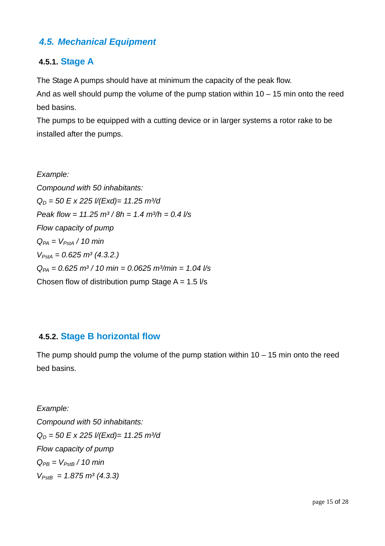#### **4.5. Mechanical Equipment**

#### **4.5.1. Stage A**

The Stage A pumps should have at minimum the capacity of the peak flow.

And as well should pump the volume of the pump station within  $10 - 15$  min onto the reed bed basins.

The pumps to be equipped with a cutting device or in larger systems a rotor rake to be installed after the pumps.

Example: Compound with 50 inhabitants:  $Q_D = 50$  E x 225 l/(Exd)= 11.25 m<sup>3</sup>/d Peak flow =  $11.25 \text{ m}^3 / 8h = 1.4 \text{ m}^3/h = 0.4 \text{ l/s}$ Flow capacity of pump  $Q_{PA} = V_{PstA}$  / 10 min  $V_{PstA} = 0.625 \, m^3 \, (4.3.2.)$  $Q_{PA} = 0.625 \text{ m}^3 / 10 \text{ min} = 0.0625 \text{ m}^3/\text{min} = 1.04 \text{ l/s}$ Chosen flow of distribution pump Stage  $A = 1.5$   $\frac{1}{s}$ 

#### **4.5.2. Stage B horizontal flow**

The pump should pump the volume of the pump station within  $10 - 15$  min onto the reed bed basins.

Example: Compound with 50 inhabitants:  $Q_D = 50$  E x 225 l/(Exd)= 11.25 m<sup>3</sup>/d Flow capacity of pump  $Q_{PB} = V_{PstB} / 10$  min  $V_{PstB} = 1.875 \, m^3 \, (4.3.3)$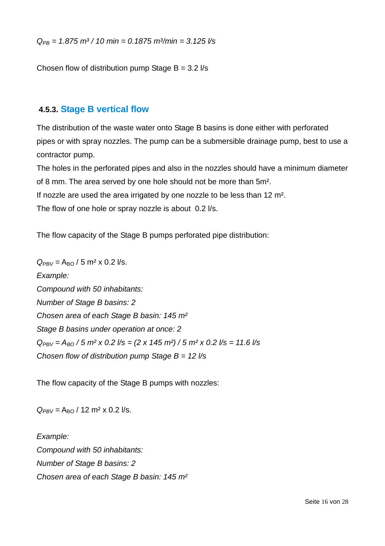$Q_{PR} = 1.875 \text{ m}^3 / 10 \text{ min} = 0.1875 \text{ m}^3/\text{min} = 3.125 \text{ Ns}$ 

Chosen flow of distribution pump Stage  $B = 3.2$  I/s

#### **4.5.3. Stage B vertical flow**

The distribution of the waste water onto Stage B basins is done either with perforated pipes or with spray nozzles. The pump can be a submersible drainage pump, best to use a contractor pump.

The holes in the perforated pipes and also in the nozzles should have a minimum diameter of 8 mm. The area served by one hole should not be more than 5m². If nozzle are used the area irrigated by one nozzle to be less than 12 m².

The flow of one hole or spray nozzle is about 0.2 l/s.

The flow capacity of the Stage B pumps perforated pipe distribution:

 $Q_{PBV} = A_{BO} / 5$  m<sup>2</sup> x 0.2 l/s. Example: Compound with 50 inhabitants: Number of Stage B basins: 2 Chosen area of each Stage B basin: 145 m² Stage B basins under operation at once: 2  $Q_{PBV} = A_{B0} / 5$  m<sup>2</sup> x 0.2 l/s = (2 x 145 m<sup>2</sup>) / 5 m<sup>2</sup> x 0.2 l/s = 11.6 l/s Chosen flow of distribution pump Stage  $B = 12$  I/s

The flow capacity of the Stage B pumps with nozzles:

 $Q_{PBV} = A_{BO} / 12$  m<sup>2</sup> x 0.2 l/s.

Example: Compound with 50 inhabitants: Number of Stage B basins: 2 Chosen area of each Stage B basin: 145 m²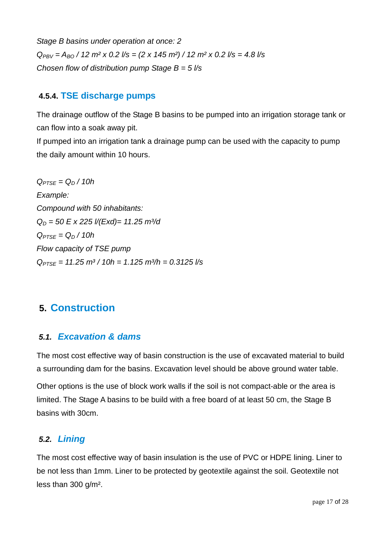Stage B basins under operation at once: 2  $Q_{PN} = A_{BO}$  / 12 m<sup>2</sup> x 0.2 l/s = (2 x 145 m<sup>2</sup>) / 12 m<sup>2</sup> x 0.2 l/s = 4.8 l/s Chosen flow of distribution pump Stage  $B = 5$  //s

#### **4.5.4. TSE discharge pumps**

The drainage outflow of the Stage B basins to be pumped into an irrigation storage tank or can flow into a soak away pit.

If pumped into an irrigation tank a drainage pump can be used with the capacity to pump the daily amount within 10 hours.

 $Q_{PTSE} = Q_D / 10h$ Example: Compound with 50 inhabitants:  $Q_D = 50$  E x 225 l/(Exd)= 11.25 m<sup>3</sup>/d  $Q_{PTSE} = Q_D / 10h$ Flow capacity of TSE pump  $Q_{PTSE} = 11.25 \text{ m}^3 / 10h = 1.125 \text{ m}^3/h = 0.3125 \text{ l/s}$ 

# **5. Construction**

#### **5.1. Excavation & dams**

The most cost effective way of basin construction is the use of excavated material to build a surrounding dam for the basins. Excavation level should be above ground water table.

Other options is the use of block work walls if the soil is not compact-able or the area is limited. The Stage A basins to be build with a free board of at least 50 cm, the Stage B basins with 30cm.

#### **5.2. Lining**

The most cost effective way of basin insulation is the use of PVC or HDPE lining. Liner to be not less than 1mm. Liner to be protected by geotextile against the soil. Geotextile not less than 300 g/m².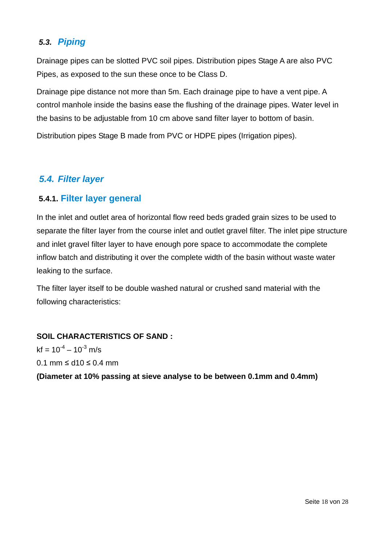#### **5.3. Piping**

Drainage pipes can be slotted PVC soil pipes. Distribution pipes Stage A are also PVC Pipes, as exposed to the sun these once to be Class D.

Drainage pipe distance not more than 5m. Each drainage pipe to have a vent pipe. A control manhole inside the basins ease the flushing of the drainage pipes. Water level in the basins to be adjustable from 10 cm above sand filter layer to bottom of basin.

Distribution pipes Stage B made from PVC or HDPE pipes (Irrigation pipes).

#### **5.4. Filter layer**

#### **5.4.1. Filter layer general**

In the inlet and outlet area of horizontal flow reed beds graded grain sizes to be used to separate the filter layer from the course inlet and outlet gravel filter. The inlet pipe structure and inlet gravel filter layer to have enough pore space to accommodate the complete inflow batch and distributing it over the complete width of the basin without waste water leaking to the surface.

The filter layer itself to be double washed natural or crushed sand material with the following characteristics:

#### **SOIL CHARACTERISTICS OF SAND :**

 $kf = 10^{-4} - 10^{-3}$  m/s 0.1 mm ≤ d10 ≤ 0.4 mm

**(Diameter at 10% passing at sieve analyse to be between 0.1mm and 0.4mm)**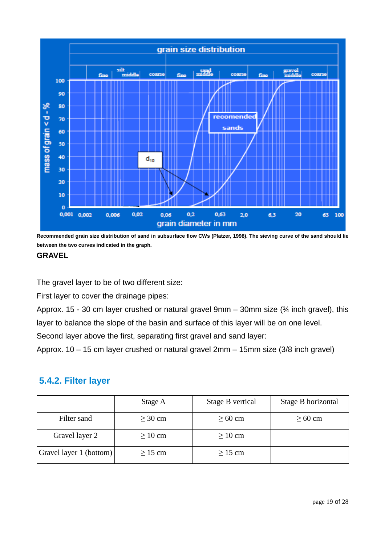

**Recommended grain size distribution of sand in subsurface flow CWs (Platzer, 1998). The sieving curve of the sand should lie between the two curves indicated in the graph.** 

#### **GRAVEL**

The gravel layer to be of two different size:

First layer to cover the drainage pipes:

Approx. 15 - 30 cm layer crushed or natural gravel 9mm – 30mm size (¾ inch gravel), this layer to balance the slope of the basin and surface of this layer will be on one level.

Second layer above the first, separating first gravel and sand layer:

Approx. 10 – 15 cm layer crushed or natural gravel 2mm – 15mm size (3/8 inch gravel)

#### **5.4.2. Filter layer**

|                         | Stage A      | Stage B vertical | Stage B horizontal |
|-------------------------|--------------|------------------|--------------------|
| Filter sand             | $\geq 30$ cm | $\geq 60$ cm     | $\geq 60$ cm       |
| Gravel layer 2          | $\geq 10$ cm | $\geq 10$ cm     |                    |
| Gravel layer 1 (bottom) | $\geq$ 15 cm | $\geq$ 15 cm     |                    |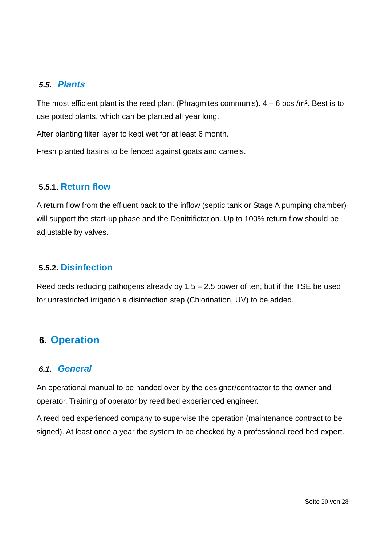#### **5.5. Plants**

The most efficient plant is the reed plant (Phragmites communis).  $4 - 6$  pcs /m<sup>2</sup>. Best is to use potted plants, which can be planted all year long.

After planting filter layer to kept wet for at least 6 month.

Fresh planted basins to be fenced against goats and camels.

#### **5.5.1. Return flow**

A return flow from the effluent back to the inflow (septic tank or Stage A pumping chamber) will support the start-up phase and the Denitrifictation. Up to 100% return flow should be adjustable by valves.

#### **5.5.2. Disinfection**

Reed beds reducing pathogens already by  $1.5 - 2.5$  power of ten, but if the TSE be used for unrestricted irrigation a disinfection step (Chlorination, UV) to be added.

#### **6. Operation**

#### **6.1. General**

An operational manual to be handed over by the designer/contractor to the owner and operator. Training of operator by reed bed experienced engineer.

A reed bed experienced company to supervise the operation (maintenance contract to be signed). At least once a year the system to be checked by a professional reed bed expert.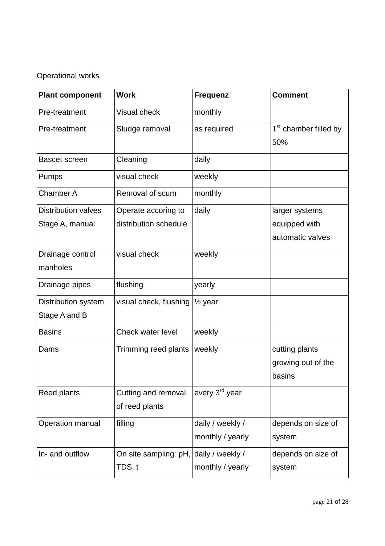## Operational works

| <b>Plant component</b>               | <b>Work</b>                                      | <b>Frequenz</b>                      | <b>Comment</b>                                 |
|--------------------------------------|--------------------------------------------------|--------------------------------------|------------------------------------------------|
| Pre-treatment                        | <b>Visual check</b>                              | monthly                              |                                                |
| Pre-treatment                        | Sludge removal                                   | as required                          | 1 <sup>st</sup> chamber filled by<br>50%       |
| <b>Bascet screen</b>                 | Cleaning                                         | daily                                |                                                |
| Pumps                                | visual check                                     | weekly                               |                                                |
| <b>Chamber A</b>                     | Removal of scum                                  | monthly                              |                                                |
| <b>Distribution valves</b>           | Operate accoring to                              | daily                                | larger systems                                 |
| Stage A, manual                      | distribution schedule                            |                                      | equipped with                                  |
|                                      |                                                  |                                      | automatic valves                               |
| Drainage control<br>manholes         | visual check                                     | weekly                               |                                                |
| Drainage pipes                       | flushing                                         | yearly                               |                                                |
| Distribution system<br>Stage A and B | visual check, flushing                           | $\frac{1}{2}$ year                   |                                                |
| <b>Basins</b>                        | Check water level                                | weekly                               |                                                |
| Dams                                 | Trimming reed plants                             | weekly                               | cutting plants<br>growing out of the<br>basins |
| <b>Reed plants</b>                   | Cutting and removal<br>of reed plants            | every 3 <sup>rd</sup> year           |                                                |
| Operation manual                     | filling                                          | daily / weekly /<br>monthly / yearly | depends on size of<br>system                   |
| In- and outflow                      | On site sampling: pH, daily / weekly /<br>TDS, t | monthly / yearly                     | depends on size of<br>system                   |